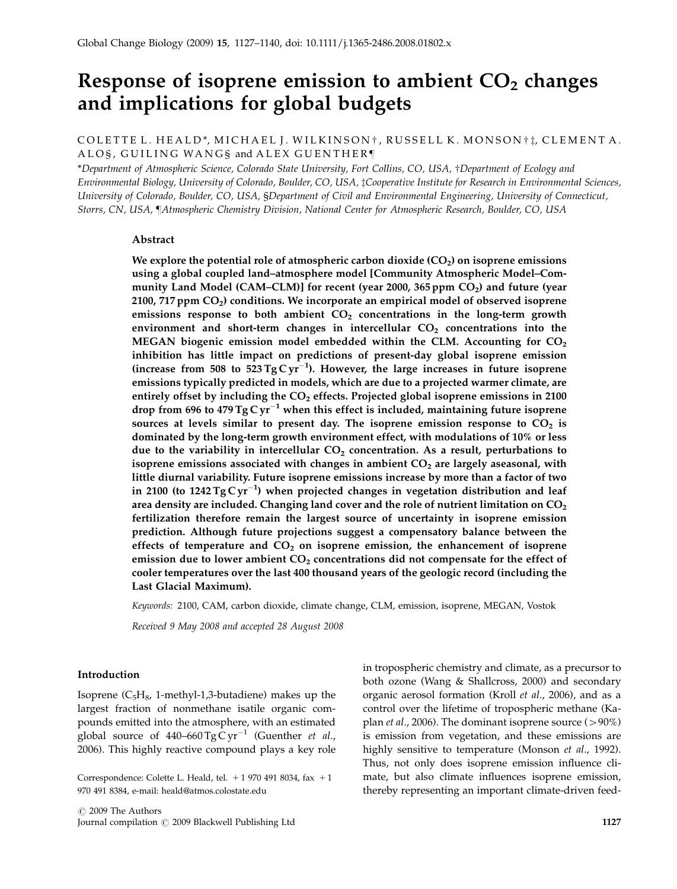# Response of isoprene emission to ambient  $CO<sub>2</sub>$  changes and implications for global budgets

COLETTE L. HEALD\*, MICHAEL J. WILKINSON †, RUSSELL K. MONSON † İ, CLEMENT A. ALOS, GUILING WANGS and ALEX GUENTHER

\*Department of Atmospheric Science, Colorado State University, Fort Collins, CO, USA, †Department of Ecology and Environmental Biology, University of Colorado, Boulder, CO, USA, zCooperative Institute for Research in Environmental Sciences, University of Colorado, Boulder, CO, USA, §Department of Civil and Environmental Engineering, University of Connecticut, Storrs, CN, USA, ¶Atmospheric Chemistry Division, National Center for Atmospheric Research, Boulder, CO, USA

#### Abstract

We explore the potential role of atmospheric carbon dioxide  $(CO<sub>2</sub>)$  on isoprene emissions using a global coupled land–atmosphere model [Community Atmospheric Model–Community Land Model (CAM–CLM)] for recent (year 2000, 365 ppm  $CO<sub>2</sub>$ ) and future (year 2100, 717 ppm  $CO<sub>2</sub>$ ) conditions. We incorporate an empirical model of observed isoprene emissions response to both ambient  $CO<sub>2</sub>$  concentrations in the long-term growth environment and short-term changes in intercellular  $CO<sub>2</sub>$  concentrations into the MEGAN biogenic emission model embedded within the CLM. Accounting for  $CO<sub>2</sub>$ inhibition has little impact on predictions of present-day global isoprene emission (increase from 508 to  $523 \text{ Tg} \text{C yr}^{-1}$ ). However, the large increases in future isoprene emissions typically predicted in models, which are due to a projected warmer climate, are entirely offset by including the  $CO<sub>2</sub>$  effects. Projected global isoprene emissions in 2100 drop from 696 to 479 Tg C  $\rm{yr^{-1}}$  when this effect is included, maintaining future isoprene sources at levels similar to present day. The isoprene emission response to  $CO<sub>2</sub>$  is dominated by the long-term growth environment effect, with modulations of 10% or less due to the variability in intercellular  $CO<sub>2</sub>$  concentration. As a result, perturbations to isoprene emissions associated with changes in ambient  $CO<sub>2</sub>$  are largely aseasonal, with little diurnal variability. Future isoprene emissions increase by more than a factor of two in 2100 (to 1242 Tg C  $\rm{yr^{-1}}$ ) when projected changes in vegetation distribution and leaf area density are included. Changing land cover and the role of nutrient limitation on  $CO<sub>2</sub>$ fertilization therefore remain the largest source of uncertainty in isoprene emission prediction. Although future projections suggest a compensatory balance between the effects of temperature and  $CO<sub>2</sub>$  on isoprene emission, the enhancement of isoprene emission due to lower ambient  $CO<sub>2</sub>$  concentrations did not compensate for the effect of cooler temperatures over the last 400 thousand years of the geologic record (including the Last Glacial Maximum).

Keywords: 2100, CAM, carbon dioxide, climate change, CLM, emission, isoprene, MEGAN, Vostok

Received 9 May 2008 and accepted 28 August 2008

## Introduction

Isoprene  $(C_5H_8, 1$ -methyl-1,3-butadiene) makes up the largest fraction of nonmethane isatile organic compounds emitted into the atmosphere, with an estimated global source of  $440-660 \,\mathrm{Tg}\,\mathrm{Cyr}^{-1}$  (Guenther *et al.,* 2006). This highly reactive compound plays a key role

Correspondence: Colette L. Heald, tel.  $+1$  970 491 8034, fax  $+1$ 970 491 8384, e-mail: heald@atmos.colostate.edu

in tropospheric chemistry and climate, as a precursor to both ozone (Wang & Shallcross, 2000) and secondary organic aerosol formation (Kroll et al., 2006), and as a control over the lifetime of tropospheric methane (Kaplan *et al.*, 2006). The dominant isoprene source  $(>90\%)$ is emission from vegetation, and these emissions are highly sensitive to temperature (Monson et al., 1992). Thus, not only does isoprene emission influence climate, but also climate influences isoprene emission, thereby representing an important climate-driven feed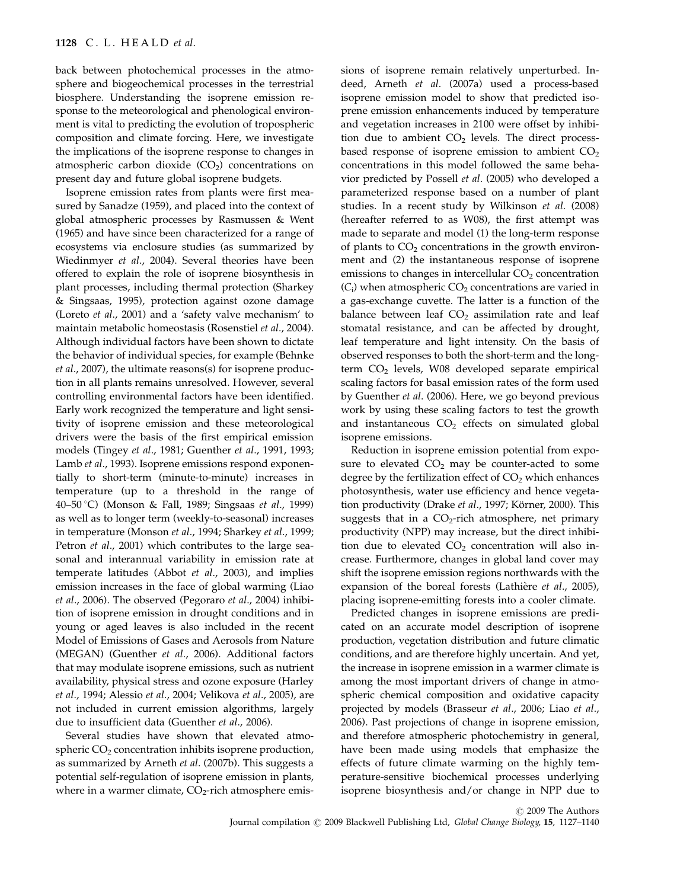back between photochemical processes in the atmosphere and biogeochemical processes in the terrestrial biosphere. Understanding the isoprene emission response to the meteorological and phenological environment is vital to predicting the evolution of tropospheric composition and climate forcing. Here, we investigate the implications of the isoprene response to changes in atmospheric carbon dioxide  $(CO<sub>2</sub>)$  concentrations on present day and future global isoprene budgets.

Isoprene emission rates from plants were first measured by Sanadze (1959), and placed into the context of global atmospheric processes by Rasmussen & Went (1965) and have since been characterized for a range of ecosystems via enclosure studies (as summarized by Wiedinmyer et al., 2004). Several theories have been offered to explain the role of isoprene biosynthesis in plant processes, including thermal protection (Sharkey & Singsaas, 1995), protection against ozone damage (Loreto et al., 2001) and a 'safety valve mechanism' to maintain metabolic homeostasis (Rosenstiel et al., 2004). Although individual factors have been shown to dictate the behavior of individual species, for example (Behnke et al., 2007), the ultimate reasons(s) for isoprene production in all plants remains unresolved. However, several controlling environmental factors have been identified. Early work recognized the temperature and light sensitivity of isoprene emission and these meteorological drivers were the basis of the first empirical emission models (Tingey et al., 1981; Guenther et al., 1991, 1993; Lamb et al., 1993). Isoprene emissions respond exponentially to short-term (minute-to-minute) increases in temperature (up to a threshold in the range of 40–50 1C) (Monson & Fall, 1989; Singsaas et al., 1999) as well as to longer term (weekly-to-seasonal) increases in temperature (Monson et al., 1994; Sharkey et al., 1999; Petron et al., 2001) which contributes to the large seasonal and interannual variability in emission rate at temperate latitudes (Abbot et al., 2003), and implies emission increases in the face of global warming (Liao et al., 2006). The observed (Pegoraro et al., 2004) inhibition of isoprene emission in drought conditions and in young or aged leaves is also included in the recent Model of Emissions of Gases and Aerosols from Nature (MEGAN) (Guenther et al., 2006). Additional factors that may modulate isoprene emissions, such as nutrient availability, physical stress and ozone exposure (Harley et al., 1994; Alessio et al., 2004; Velikova et al., 2005), are not included in current emission algorithms, largely due to insufficient data (Guenther et al., 2006).

Several studies have shown that elevated atmospheric  $CO<sub>2</sub>$  concentration inhibits isoprene production, as summarized by Arneth et al. (2007b). This suggests a potential self-regulation of isoprene emission in plants, where in a warmer climate,  $CO<sub>2</sub>$ -rich atmosphere emissions of isoprene remain relatively unperturbed. Indeed, Arneth et al. (2007a) used a process-based isoprene emission model to show that predicted isoprene emission enhancements induced by temperature and vegetation increases in 2100 were offset by inhibition due to ambient  $CO<sub>2</sub>$  levels. The direct processbased response of isoprene emission to ambient  $CO<sub>2</sub>$ concentrations in this model followed the same behavior predicted by Possell et al. (2005) who developed a parameterized response based on a number of plant studies. In a recent study by Wilkinson et al. (2008) (hereafter referred to as W08), the first attempt was made to separate and model (1) the long-term response of plants to  $CO<sub>2</sub>$  concentrations in the growth environment and (2) the instantaneous response of isoprene emissions to changes in intercellular  $CO<sub>2</sub>$  concentration  $(C_i)$  when atmospheric  $CO_2$  concentrations are varied in a gas-exchange cuvette. The latter is a function of the balance between leaf  $CO<sub>2</sub>$  assimilation rate and leaf stomatal resistance, and can be affected by drought, leaf temperature and light intensity. On the basis of observed responses to both the short-term and the longterm  $CO<sub>2</sub>$  levels, W08 developed separate empirical scaling factors for basal emission rates of the form used by Guenther et al. (2006). Here, we go beyond previous work by using these scaling factors to test the growth and instantaneous  $CO<sub>2</sub>$  effects on simulated global isoprene emissions.

Reduction in isoprene emission potential from exposure to elevated  $CO<sub>2</sub>$  may be counter-acted to some degree by the fertilization effect of  $CO<sub>2</sub>$  which enhances photosynthesis, water use efficiency and hence vegetation productivity (Drake et al., 1997; Körner, 2000). This suggests that in a  $CO<sub>2</sub>$ -rich atmosphere, net primary productivity (NPP) may increase, but the direct inhibition due to elevated  $CO<sub>2</sub>$  concentration will also increase. Furthermore, changes in global land cover may shift the isoprene emission regions northwards with the expansion of the boreal forests (Lathière et al., 2005), placing isoprene-emitting forests into a cooler climate.

Predicted changes in isoprene emissions are predicated on an accurate model description of isoprene production, vegetation distribution and future climatic conditions, and are therefore highly uncertain. And yet, the increase in isoprene emission in a warmer climate is among the most important drivers of change in atmospheric chemical composition and oxidative capacity projected by models (Brasseur et al., 2006; Liao et al., 2006). Past projections of change in isoprene emission, and therefore atmospheric photochemistry in general, have been made using models that emphasize the effects of future climate warming on the highly temperature-sensitive biochemical processes underlying isoprene biosynthesis and/or change in NPP due to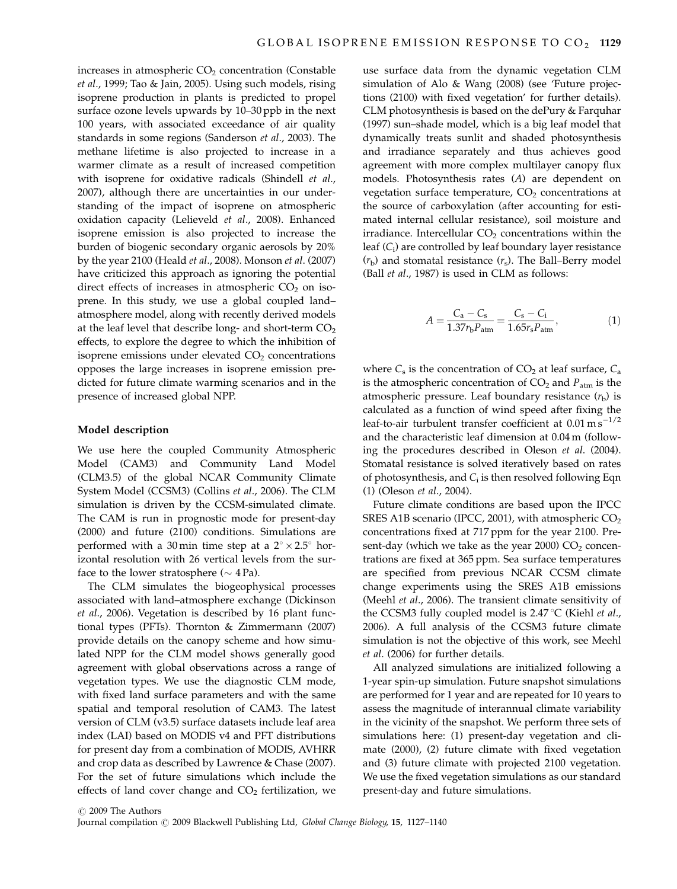increases in atmospheric  $CO<sub>2</sub>$  concentration (Constable et al., 1999; Tao & Jain, 2005). Using such models, rising isoprene production in plants is predicted to propel surface ozone levels upwards by 10–30 ppb in the next 100 years, with associated exceedance of air quality standards in some regions (Sanderson et al., 2003). The methane lifetime is also projected to increase in a warmer climate as a result of increased competition with isoprene for oxidative radicals (Shindell et al., 2007), although there are uncertainties in our understanding of the impact of isoprene on atmospheric oxidation capacity (Lelieveld et al., 2008). Enhanced isoprene emission is also projected to increase the burden of biogenic secondary organic aerosols by 20% by the year 2100 (Heald et al., 2008). Monson et al. (2007) have criticized this approach as ignoring the potential direct effects of increases in atmospheric  $CO<sub>2</sub>$  on isoprene. In this study, we use a global coupled land– atmosphere model, along with recently derived models at the leaf level that describe long- and short-term  $CO<sub>2</sub>$ effects, to explore the degree to which the inhibition of isoprene emissions under elevated  $CO<sub>2</sub>$  concentrations opposes the large increases in isoprene emission predicted for future climate warming scenarios and in the presence of increased global NPP.

#### Model description

We use here the coupled Community Atmospheric Model (CAM3) and Community Land Model (CLM3.5) of the global NCAR Community Climate System Model (CCSM3) (Collins et al., 2006). The CLM simulation is driven by the CCSM-simulated climate. The CAM is run in prognostic mode for present-day (2000) and future (2100) conditions. Simulations are performed with a 30 min time step at a  $2^{\circ} \times 2.5^{\circ}$  horizontal resolution with 26 vertical levels from the surface to the lower stratosphere ( $\sim$  4 Pa).

The CLM simulates the biogeophysical processes associated with land–atmosphere exchange (Dickinson et al., 2006). Vegetation is described by 16 plant functional types (PFTs). Thornton & Zimmermann (2007) provide details on the canopy scheme and how simulated NPP for the CLM model shows generally good agreement with global observations across a range of vegetation types. We use the diagnostic CLM mode, with fixed land surface parameters and with the same spatial and temporal resolution of CAM3. The latest version of CLM (v3.5) surface datasets include leaf area index (LAI) based on MODIS v4 and PFT distributions for present day from a combination of MODIS, AVHRR and crop data as described by Lawrence & Chase (2007). For the set of future simulations which include the effects of land cover change and  $CO<sub>2</sub>$  fertilization, we use surface data from the dynamic vegetation CLM simulation of Alo & Wang (2008) (see 'Future projections (2100) with fixed vegetation' for further details). CLM photosynthesis is based on the dePury & Farquhar (1997) sun–shade model, which is a big leaf model that dynamically treats sunlit and shaded photosynthesis and irradiance separately and thus achieves good agreement with more complex multilayer canopy flux models. Photosynthesis rates (A) are dependent on vegetation surface temperature,  $CO<sub>2</sub>$  concentrations at the source of carboxylation (after accounting for estimated internal cellular resistance), soil moisture and irradiance. Intercellular  $CO<sub>2</sub>$  concentrations within the leaf  $(C_i)$  are controlled by leaf boundary layer resistance  $(r<sub>b</sub>)$  and stomatal resistance  $(r<sub>s</sub>)$ . The Ball–Berry model (Ball et al., 1987) is used in CLM as follows:

$$
A = \frac{C_{\rm a} - C_{\rm s}}{1.37 r_{\rm b} P_{\rm atm}} = \frac{C_{\rm s} - C_{\rm i}}{1.65 r_{\rm s} P_{\rm atm}},\tag{1}
$$

where  $C_s$  is the concentration of  $CO_2$  at leaf surface,  $C_a$ is the atmospheric concentration of  $CO<sub>2</sub>$  and  $P<sub>atm</sub>$  is the atmospheric pressure. Leaf boundary resistance  $(r<sub>b</sub>)$  is calculated as a function of wind speed after fixing the leaf-to-air turbulent transfer coefficient at  $0.01 \text{ m s}^{-1/2}$ and the characteristic leaf dimension at 0.04 m (following the procedures described in Oleson et al. (2004). Stomatal resistance is solved iteratively based on rates of photosynthesis, and  $C_i$  is then resolved following Eqn (1) (Oleson et al., 2004).

Future climate conditions are based upon the IPCC SRES A1B scenario (IPCC, 2001), with atmospheric  $CO<sub>2</sub>$ concentrations fixed at 717 ppm for the year 2100. Present-day (which we take as the year 2000)  $CO<sub>2</sub>$  concentrations are fixed at 365 ppm. Sea surface temperatures are specified from previous NCAR CCSM climate change experiments using the SRES A1B emissions (Meehl et al., 2006). The transient climate sensitivity of the CCSM3 fully coupled model is  $2.47^{\circ}C$  (Kiehl *et al.*, 2006). A full analysis of the CCSM3 future climate simulation is not the objective of this work, see Meehl et al. (2006) for further details.

All analyzed simulations are initialized following a 1-year spin-up simulation. Future snapshot simulations are performed for 1 year and are repeated for 10 years to assess the magnitude of interannual climate variability in the vicinity of the snapshot. We perform three sets of simulations here: (1) present-day vegetation and climate (2000), (2) future climate with fixed vegetation and (3) future climate with projected 2100 vegetation. We use the fixed vegetation simulations as our standard present-day and future simulations.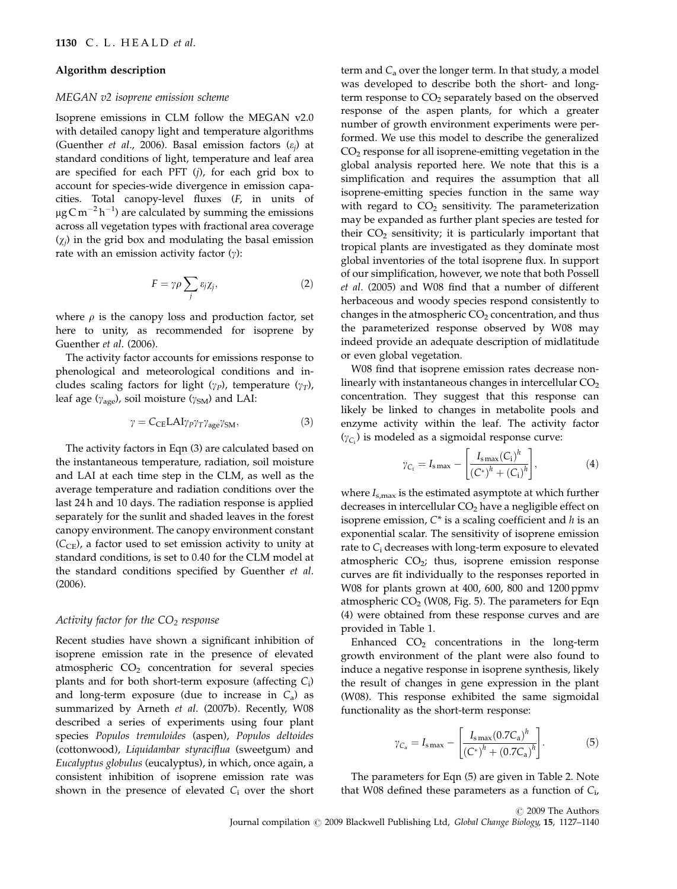## Algorithm description

## MEGAN v2 isoprene emission scheme

Isoprene emissions in CLM follow the MEGAN v2.0 with detailed canopy light and temperature algorithms (Guenther *et al.*, 2006). Basal emission factors  $(\varepsilon_i)$  at standard conditions of light, temperature and leaf area are specified for each PFT  $(j)$ , for each grid box to account for species-wide divergence in emission capacities. Total canopy-level fluxes (F, in units of  $\mu$ g $\rm C\,m^{-2}\,h^{-1}$ ) are calculated by summing the emissions across all vegetation types with fractional area coverage  $(\chi_i)$  in the grid box and modulating the basal emission rate with an emission activity factor  $(y)$ :

$$
F = \gamma \rho \sum_{j} \varepsilon_{j} \chi_{j}, \qquad (2)
$$

where  $\rho$  is the canopy loss and production factor, set here to unity, as recommended for isoprene by Guenther et al. (2006).

The activity factor accounts for emissions response to phenological and meteorological conditions and includes scaling factors for light ( $\gamma_P$ ), temperature ( $\gamma_T$ ), leaf age ( $\gamma_{\text{age}}$ ), soil moisture ( $\gamma_{\text{SM}}$ ) and LAI:

$$
\gamma = C_{\rm CE} L A I \gamma_P \gamma_T \gamma_{\rm age} \gamma_{\rm SM},\tag{3}
$$

The activity factors in Eqn (3) are calculated based on the instantaneous temperature, radiation, soil moisture and LAI at each time step in the CLM, as well as the average temperature and radiation conditions over the last 24 h and 10 days. The radiation response is applied separately for the sunlit and shaded leaves in the forest canopy environment. The canopy environment constant  $(C_{CE})$ , a factor used to set emission activity to unity at standard conditions, is set to 0.40 for the CLM model at the standard conditions specified by Guenther et al. (2006).

## Activity factor for the  $CO<sub>2</sub>$  response

Recent studies have shown a significant inhibition of isoprene emission rate in the presence of elevated atmospheric  $CO<sub>2</sub>$  concentration for several species plants and for both short-term exposure (affecting  $C_i$ ) and long-term exposure (due to increase in  $C_a$ ) as summarized by Arneth et al. (2007b). Recently, W08 described a series of experiments using four plant species Populos tremuloides (aspen), Populos deltoides (cottonwood), Liquidambar styraciflua (sweetgum) and Eucalyptus globulus (eucalyptus), in which, once again, a consistent inhibition of isoprene emission rate was shown in the presence of elevated  $C_i$  over the short

term and  $C_a$  over the longer term. In that study, a model was developed to describe both the short- and longterm response to  $CO<sub>2</sub>$  separately based on the observed response of the aspen plants, for which a greater number of growth environment experiments were performed. We use this model to describe the generalized CO2 response for all isoprene-emitting vegetation in the global analysis reported here. We note that this is a simplification and requires the assumption that all isoprene-emitting species function in the same way with regard to  $CO<sub>2</sub>$  sensitivity. The parameterization may be expanded as further plant species are tested for their  $CO<sub>2</sub>$  sensitivity; it is particularly important that tropical plants are investigated as they dominate most global inventories of the total isoprene flux. In support of our simplification, however, we note that both Possell et al. (2005) and W08 find that a number of different herbaceous and woody species respond consistently to changes in the atmospheric  $CO<sub>2</sub>$  concentration, and thus the parameterized response observed by W08 may indeed provide an adequate description of midlatitude or even global vegetation.

W08 find that isoprene emission rates decrease nonlinearly with instantaneous changes in intercellular  $CO<sub>2</sub>$ concentration. They suggest that this response can likely be linked to changes in metabolite pools and enzyme activity within the leaf. The activity factor  $(\gamma_{C_i})$  is modeled as a sigmoidal response curve:

$$
\gamma_{C_i} = I_{\rm smax} - \left[ \frac{I_{\rm smax}(C_i)^h}{(C^*)^h + (C_i)^h} \right],
$$
 (4)

where  $I_{\rm s,max}$  is the estimated asymptote at which further decreases in intercellular  $CO<sub>2</sub>$  have a negligible effect on isoprene emission,  $C^*$  is a scaling coefficient and h is an exponential scalar. The sensitivity of isoprene emission rate to  $C_i$  decreases with long-term exposure to elevated atmospheric  $CO<sub>2</sub>$ ; thus, isoprene emission response curves are fit individually to the responses reported in W08 for plants grown at 400, 600, 800 and 1200 ppmv atmospheric  $CO<sub>2</sub>$  (W08, Fig. 5). The parameters for Eqn (4) were obtained from these response curves and are provided in Table 1.

Enhanced  $CO<sub>2</sub>$  concentrations in the long-term growth environment of the plant were also found to induce a negative response in isoprene synthesis, likely the result of changes in gene expression in the plant (W08). This response exhibited the same sigmoidal functionality as the short-term response:

$$
\gamma_{C_a} = I_{\rm smax} - \left[ \frac{I_{\rm smax}(0.7 C_a)^h}{\left( C^* \right)^h + \left( 0.7 C_a \right)^h} \right]. \tag{5}
$$

The parameters for Eqn (5) are given in Table 2. Note that W08 defined these parameters as a function of  $C_i$ ,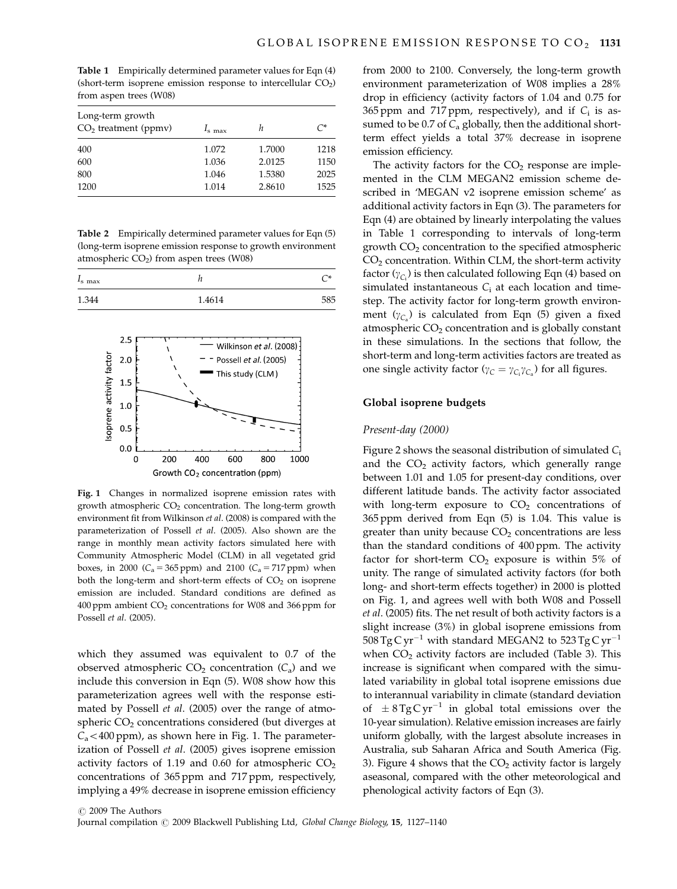Table 1 Empirically determined parameter values for Eqn (4) (short-term isoprene emission response to intercellular  $CO<sub>2</sub>$ ) from aspen trees (W08)

| Long-term growth<br>$CO2$ treatment (ppmv) | $Is$ max | h      | $C^*$ |
|--------------------------------------------|----------|--------|-------|
| 400                                        | 1.072    | 1.7000 | 1218  |
| 600                                        | 1.036    | 2.0125 | 1150  |
| 800                                        | 1.046    | 1.5380 | 2025  |
| 1200                                       | 1.014    | 2.8610 | 1525  |

Table 2 Empirically determined parameter values for Eqn (5) (long-term isoprene emission response to growth environment atmospheric  $CO<sub>2</sub>$ ) from aspen trees (W08)

| $I_{\rm s}$ max |        |     |
|-----------------|--------|-----|
| 1.344           | 1.4614 | 585 |



Fig. 1 Changes in normalized isoprene emission rates with growth atmospheric  $CO<sub>2</sub>$  concentration. The long-term growth environment fit from Wilkinson et al. (2008) is compared with the parameterization of Possell et al. (2005). Also shown are the range in monthly mean activity factors simulated here with Community Atmospheric Model (CLM) in all vegetated grid boxes, in 2000 ( $C_a = 365$  ppm) and 2100 ( $C_a = 717$  ppm) when both the long-term and short-term effects of  $CO<sub>2</sub>$  on isoprene emission are included. Standard conditions are defined as 400 ppm ambient CO<sub>2</sub> concentrations for W08 and 366 ppm for Possell et al. (2005).

which they assumed was equivalent to 0.7 of the observed atmospheric  $CO_2$  concentration  $(C_a)$  and we include this conversion in Eqn (5). W08 show how this parameterization agrees well with the response estimated by Possell et al. (2005) over the range of atmospheric  $CO<sub>2</sub>$  concentrations considered (but diverges at  $C_a$ <400 ppm), as shown here in Fig. 1. The parameterization of Possell et al. (2005) gives isoprene emission activity factors of 1.19 and 0.60 for atmospheric  $CO<sub>2</sub>$ concentrations of 365 ppm and 717 ppm, respectively, implying a 49% decrease in isoprene emission efficiency from 2000 to 2100. Conversely, the long-term growth environment parameterization of W08 implies a 28% drop in efficiency (activity factors of 1.04 and 0.75 for 365 ppm and 717 ppm, respectively), and if  $C_i$  is assumed to be  $0.7$  of  $C<sub>a</sub>$  globally, then the additional shortterm effect yields a total 37% decrease in isoprene emission efficiency.

The activity factors for the  $CO<sub>2</sub>$  response are implemented in the CLM MEGAN2 emission scheme described in 'MEGAN v2 isoprene emission scheme' as additional activity factors in Eqn (3). The parameters for Eqn (4) are obtained by linearly interpolating the values in Table 1 corresponding to intervals of long-term growth  $CO<sub>2</sub>$  concentration to the specified atmospheric  $CO<sub>2</sub>$  concentration. Within CLM, the short-term activity factor ( $\gamma_{C_i}$ ) is then calculated following Eqn (4) based on simulated instantaneous  $C_i$  at each location and timestep. The activity factor for long-term growth environment ( $\gamma_{C_a}$ ) is calculated from Eqn (5) given a fixed atmospheric  $CO<sub>2</sub>$  concentration and is globally constant in these simulations. In the sections that follow, the short-term and long-term activities factors are treated as one single activity factor ( $\gamma_C = \gamma_{C_i}\gamma_{C_a}$ ) for all figures.

## Global isoprene budgets

#### Present-day (2000)

Figure 2 shows the seasonal distribution of simulated  $C_i$ and the  $CO<sub>2</sub>$  activity factors, which generally range between 1.01 and 1.05 for present-day conditions, over different latitude bands. The activity factor associated with long-term exposure to  $CO<sub>2</sub>$  concentrations of 365 ppm derived from Eqn (5) is 1.04. This value is greater than unity because  $CO<sub>2</sub>$  concentrations are less than the standard conditions of 400 ppm. The activity factor for short-term  $CO<sub>2</sub>$  exposure is within 5% of unity. The range of simulated activity factors (for both long- and short-term effects together) in 2000 is plotted on Fig. 1, and agrees well with both W08 and Possell et al. (2005) fits. The net result of both activity factors is a slight increase (3%) in global isoprene emissions from  $508 \text{ Tg C yr}^{-1}$  with standard MEGAN2 to  $523 \text{ Tg C yr}^{-1}$ when  $CO<sub>2</sub>$  activity factors are included (Table 3). This increase is significant when compared with the simulated variability in global total isoprene emissions due to interannual variability in climate (standard deviation of  $\pm$  8 Tg C yr<sup>-1</sup> in global total emissions over the 10-year simulation). Relative emission increases are fairly uniform globally, with the largest absolute increases in Australia, sub Saharan Africa and South America (Fig. 3). Figure 4 shows that the  $CO<sub>2</sub>$  activity factor is largely aseasonal, compared with the other meteorological and phenological activity factors of Eqn (3).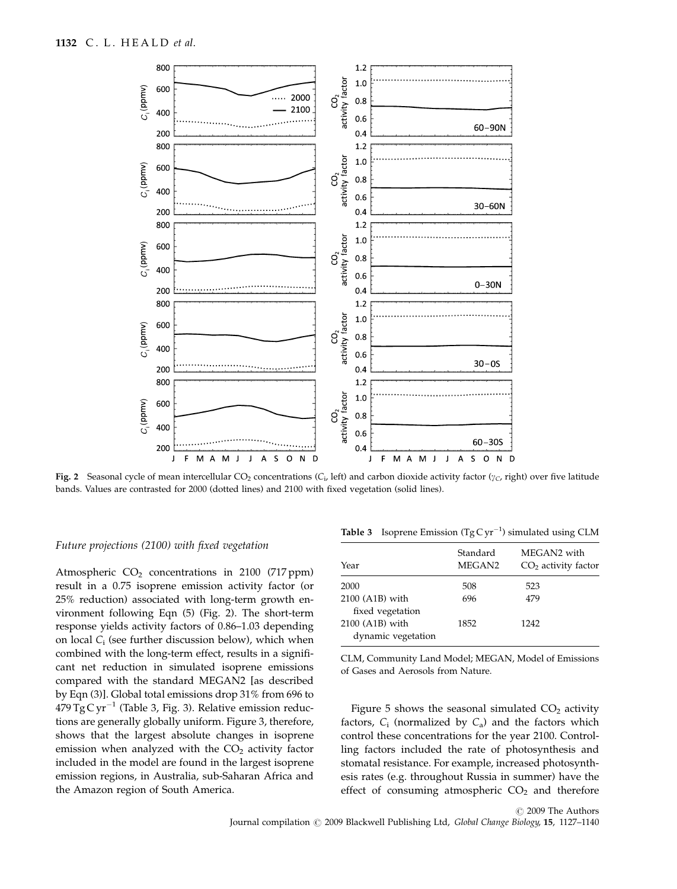

Fig. 2 Seasonal cycle of mean intercellular CO<sub>2</sub> concentrations (C<sub>i</sub>, left) and carbon dioxide activity factor ( $y_C$ , right) over five latitude bands. Values are contrasted for 2000 (dotted lines) and 2100 with fixed vegetation (solid lines).

## Future projections (2100) with fixed vegetation

Atmospheric  $CO<sub>2</sub>$  concentrations in 2100 (717 ppm) result in a 0.75 isoprene emission activity factor (or 25% reduction) associated with long-term growth environment following Eqn (5) (Fig. 2). The short-term response yields activity factors of 0.86–1.03 depending on local  $C_i$  (see further discussion below), which when combined with the long-term effect, results in a significant net reduction in simulated isoprene emissions compared with the standard MEGAN2 [as described by Eqn (3)]. Global total emissions drop 31% from 696 to  $479\,\mathrm{Tg}\,\mathrm{C}\,\mathrm{yr}^{-1}$  (Table 3, Fig. 3). Relative emission reductions are generally globally uniform. Figure 3, therefore, shows that the largest absolute changes in isoprene emission when analyzed with the  $CO<sub>2</sub>$  activity factor included in the model are found in the largest isoprene emission regions, in Australia, sub-Saharan Africa and the Amazon region of South America.

**Table 3** Isoprene Emission (Tg C  $yr^{-1}$ ) simulated using CLM

| Standard<br>MEGAN2 with<br>MEGAN2<br>Year<br>2000<br>508<br>523<br>2100 (A1B) with<br>696<br>479<br>fixed vegetation<br>2100 (A1B) with<br>1852<br>1242<br>dynamic vegetation |  |                       |  |
|-------------------------------------------------------------------------------------------------------------------------------------------------------------------------------|--|-----------------------|--|
|                                                                                                                                                                               |  | $CO2$ activity factor |  |
|                                                                                                                                                                               |  |                       |  |
|                                                                                                                                                                               |  |                       |  |
|                                                                                                                                                                               |  |                       |  |

CLM, Community Land Model; MEGAN, Model of Emissions of Gases and Aerosols from Nature.

Figure 5 shows the seasonal simulated  $CO<sub>2</sub>$  activity factors,  $C_i$  (normalized by  $C_a$ ) and the factors which control these concentrations for the year 2100. Controlling factors included the rate of photosynthesis and stomatal resistance. For example, increased photosynthesis rates (e.g. throughout Russia in summer) have the effect of consuming atmospheric  $CO<sub>2</sub>$  and therefore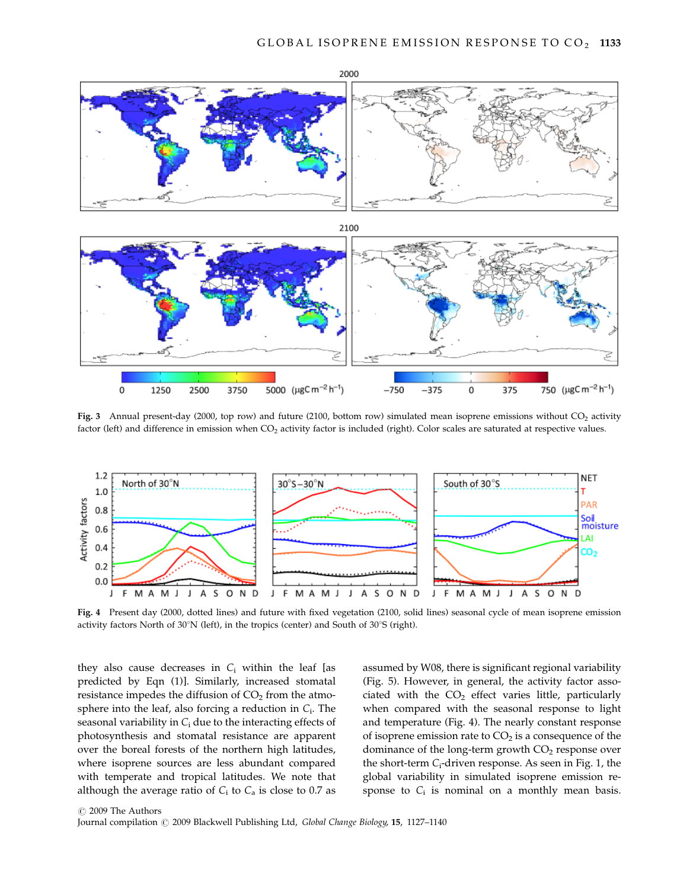



Fig. 3 Annual present-day (2000, top row) and future (2100, bottom row) simulated mean isoprene emissions without CO<sub>2</sub> activity factor (left) and difference in emission when CO<sub>2</sub> activity factor is included (right). Color scales are saturated at respective values.



Fig. 4 Present day (2000, dotted lines) and future with fixed vegetation (2100, solid lines) seasonal cycle of mean isoprene emission activity factors North of  $30^{\circ}$ N (left), in the tropics (center) and South of  $30^{\circ}$ S (right).

they also cause decreases in  $C_i$  within the leaf [as predicted by Eqn (1)]. Similarly, increased stomatal resistance impedes the diffusion of  $CO<sub>2</sub>$  from the atmosphere into the leaf, also forcing a reduction in  $C_i$ . The seasonal variability in  $C_i$  due to the interacting effects of photosynthesis and stomatal resistance are apparent over the boreal forests of the northern high latitudes, where isoprene sources are less abundant compared with temperate and tropical latitudes. We note that although the average ratio of  $C_i$  to  $C_a$  is close to 0.7 as

assumed by W08, there is significant regional variability (Fig. 5). However, in general, the activity factor associated with the  $CO<sub>2</sub>$  effect varies little, particularly when compared with the seasonal response to light and temperature (Fig. 4). The nearly constant response of isoprene emission rate to  $CO<sub>2</sub>$  is a consequence of the dominance of the long-term growth  $CO<sub>2</sub>$  response over the short-term  $C_i$ -driven response. As seen in Fig. 1, the global variability in simulated isoprene emission response to  $C_i$  is nominal on a monthly mean basis.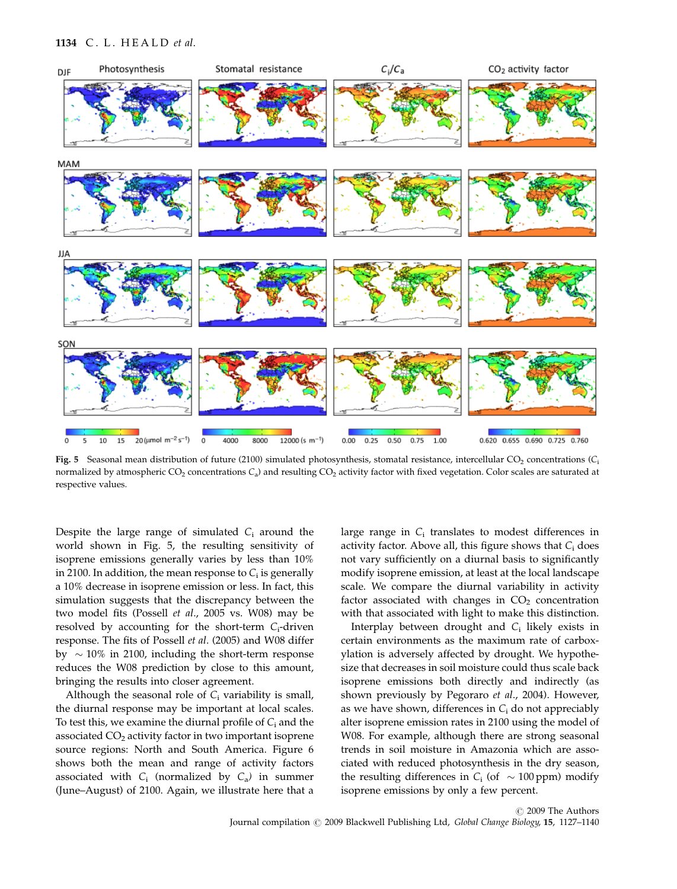#### 1134 C. L. HEALD et al.



Fig. 5 Seasonal mean distribution of future (2100) simulated photosynthesis, stomatal resistance, intercellular CO<sub>2</sub> concentrations ( $C_1$ normalized by atmospheric CO<sub>2</sub> concentrations  $C_a$ ) and resulting CO<sub>2</sub> activity factor with fixed vegetation. Color scales are saturated at respective values.

Despite the large range of simulated  $C_i$  around the world shown in Fig. 5, the resulting sensitivity of isoprene emissions generally varies by less than 10% in 2100. In addition, the mean response to  $C_i$  is generally a 10% decrease in isoprene emission or less. In fact, this simulation suggests that the discrepancy between the two model fits (Possell et al., 2005 vs. W08) may be resolved by accounting for the short-term  $C_i$ -driven response. The fits of Possell et al. (2005) and W08 differ by  $\sim 10\%$  in 2100, including the short-term response reduces the W08 prediction by close to this amount, bringing the results into closer agreement.

Although the seasonal role of  $C_i$  variability is small, the diurnal response may be important at local scales. To test this, we examine the diurnal profile of  $C_i$  and the associated  $CO<sub>2</sub>$  activity factor in two important isoprene source regions: North and South America. Figure 6 shows both the mean and range of activity factors associated with  $C_i$  (normalized by  $C_a$ ) in summer (June–August) of 2100. Again, we illustrate here that a large range in  $C_i$  translates to modest differences in activity factor. Above all, this figure shows that  $C_i$  does not vary sufficiently on a diurnal basis to significantly modify isoprene emission, at least at the local landscape scale. We compare the diurnal variability in activity factor associated with changes in  $CO<sub>2</sub>$  concentration with that associated with light to make this distinction.

Interplay between drought and  $C_i$  likely exists in certain environments as the maximum rate of carboxylation is adversely affected by drought. We hypothesize that decreases in soil moisture could thus scale back isoprene emissions both directly and indirectly (as shown previously by Pegoraro et al., 2004). However, as we have shown, differences in  $C_i$  do not appreciably alter isoprene emission rates in 2100 using the model of W08. For example, although there are strong seasonal trends in soil moisture in Amazonia which are associated with reduced photosynthesis in the dry season, the resulting differences in  $C_i$  (of  $\sim 100$  ppm) modify isoprene emissions by only a few percent.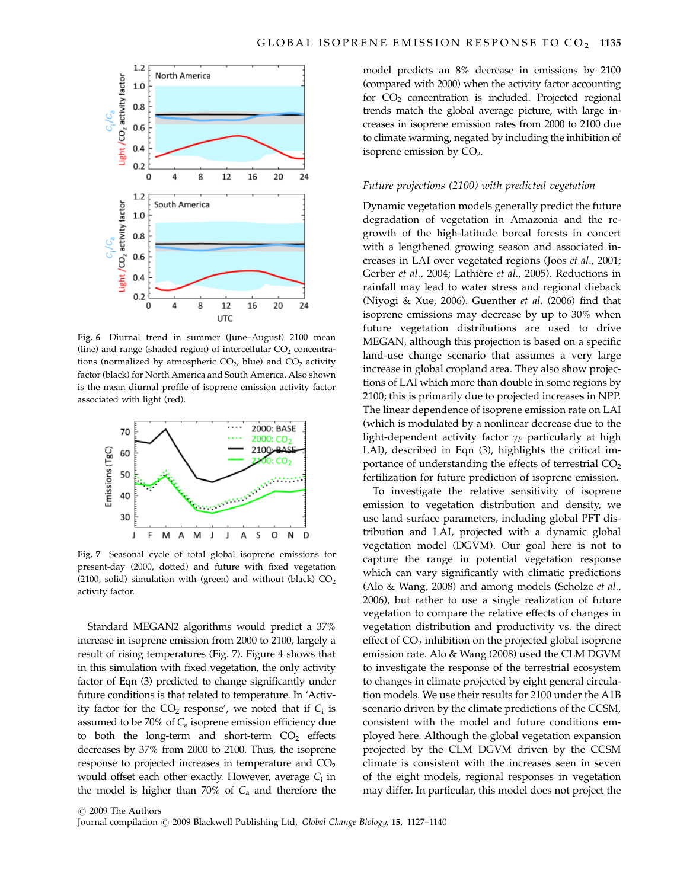

Fig. 6 Diurnal trend in summer (June–August) 2100 mean (line) and range (shaded region) of intercellular  $CO<sub>2</sub>$  concentrations (normalized by atmospheric  $CO<sub>2</sub>$ , blue) and  $CO<sub>2</sub>$  activity factor (black) for North America and South America. Also shown is the mean diurnal profile of isoprene emission activity factor associated with light (red).



Fig. 7 Seasonal cycle of total global isoprene emissions for present-day (2000, dotted) and future with fixed vegetation (2100, solid) simulation with (green) and without (black)  $CO<sub>2</sub>$ activity factor.

Standard MEGAN2 algorithms would predict a 37% increase in isoprene emission from 2000 to 2100, largely a result of rising temperatures (Fig. 7). Figure 4 shows that in this simulation with fixed vegetation, the only activity factor of Eqn (3) predicted to change significantly under future conditions is that related to temperature. In 'Activity factor for the  $CO<sub>2</sub>$  response', we noted that if  $C<sub>i</sub>$  is assumed to be 70% of  $C_a$  isoprene emission efficiency due to both the long-term and short-term  $CO<sub>2</sub>$  effects decreases by 37% from 2000 to 2100. Thus, the isoprene response to projected increases in temperature and CO<sub>2</sub> would offset each other exactly. However, average  $C_i$  in the model is higher than 70% of  $C_a$  and therefore the model predicts an 8% decrease in emissions by 2100 (compared with 2000) when the activity factor accounting for  $CO<sub>2</sub>$  concentration is included. Projected regional trends match the global average picture, with large increases in isoprene emission rates from 2000 to 2100 due to climate warming, negated by including the inhibition of isoprene emission by  $CO<sub>2</sub>$ .

#### Future projections (2100) with predicted vegetation

Dynamic vegetation models generally predict the future degradation of vegetation in Amazonia and the regrowth of the high-latitude boreal forests in concert with a lengthened growing season and associated increases in LAI over vegetated regions (Joos et al., 2001; Gerber et al., 2004; Lathière et al., 2005). Reductions in rainfall may lead to water stress and regional dieback (Niyogi & Xue, 2006). Guenther et al. (2006) find that isoprene emissions may decrease by up to 30% when future vegetation distributions are used to drive MEGAN, although this projection is based on a specific land-use change scenario that assumes a very large increase in global cropland area. They also show projections of LAI which more than double in some regions by 2100; this is primarily due to projected increases in NPP. The linear dependence of isoprene emission rate on LAI (which is modulated by a nonlinear decrease due to the light-dependent activity factor  $\gamma_P$  particularly at high LAI), described in Eqn (3), highlights the critical importance of understanding the effects of terrestrial  $CO<sub>2</sub>$ fertilization for future prediction of isoprene emission.

To investigate the relative sensitivity of isoprene emission to vegetation distribution and density, we use land surface parameters, including global PFT distribution and LAI, projected with a dynamic global vegetation model (DGVM). Our goal here is not to capture the range in potential vegetation response which can vary significantly with climatic predictions (Alo & Wang, 2008) and among models (Scholze et al., 2006), but rather to use a single realization of future vegetation to compare the relative effects of changes in vegetation distribution and productivity vs. the direct effect of  $CO<sub>2</sub>$  inhibition on the projected global isoprene emission rate. Alo & Wang (2008) used the CLM DGVM to investigate the response of the terrestrial ecosystem to changes in climate projected by eight general circulation models. We use their results for 2100 under the A1B scenario driven by the climate predictions of the CCSM, consistent with the model and future conditions employed here. Although the global vegetation expansion projected by the CLM DGVM driven by the CCSM climate is consistent with the increases seen in seven of the eight models, regional responses in vegetation may differ. In particular, this model does not project the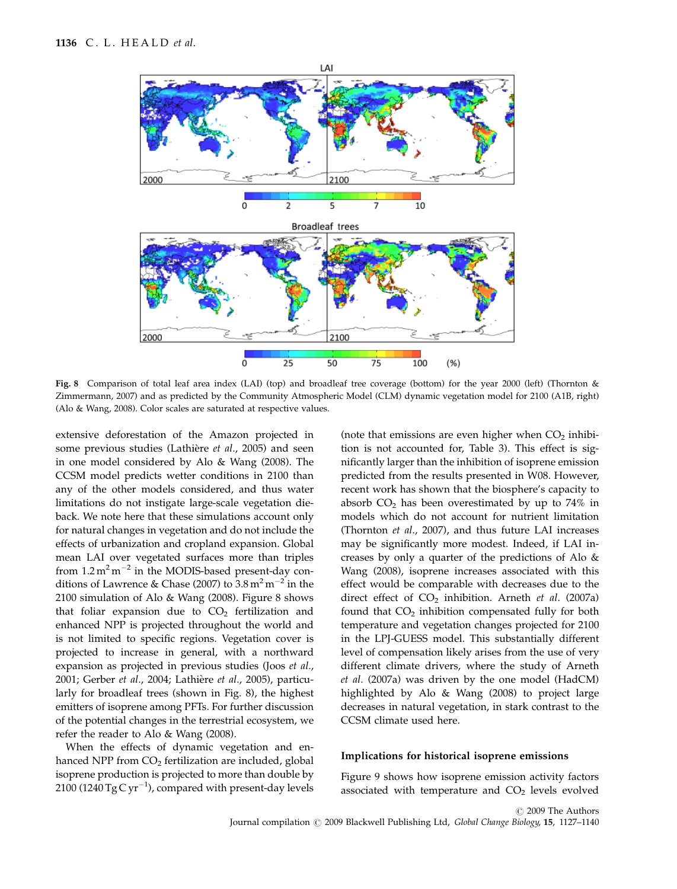

Fig. 8 Comparison of total leaf area index (LAI) (top) and broadleaf tree coverage (bottom) for the year 2000 (left) (Thornton & Zimmermann, 2007) and as predicted by the Community Atmospheric Model (CLM) dynamic vegetation model for 2100 (A1B, right) (Alo & Wang, 2008). Color scales are saturated at respective values.

extensive deforestation of the Amazon projected in some previous studies (Lathière et al., 2005) and seen in one model considered by Alo & Wang (2008). The CCSM model predicts wetter conditions in 2100 than any of the other models considered, and thus water limitations do not instigate large-scale vegetation dieback. We note here that these simulations account only for natural changes in vegetation and do not include the effects of urbanization and cropland expansion. Global mean LAI over vegetated surfaces more than triples from  $1.2 \text{ m}^2 \text{ m}^{-2}$  in the MODIS-based present-day conditions of Lawrence & Chase (2007) to  $3.8\,\mathrm{m^2\,m^{-2}}$  in the 2100 simulation of Alo & Wang (2008). Figure 8 shows that foliar expansion due to  $CO<sub>2</sub>$  fertilization and enhanced NPP is projected throughout the world and is not limited to specific regions. Vegetation cover is projected to increase in general, with a northward expansion as projected in previous studies (Joos et al., 2001; Gerber et al., 2004; Lathière et al., 2005), particularly for broadleaf trees (shown in Fig. 8), the highest emitters of isoprene among PFTs. For further discussion of the potential changes in the terrestrial ecosystem, we refer the reader to Alo & Wang (2008).

When the effects of dynamic vegetation and enhanced NPP from  $CO<sub>2</sub>$  fertilization are included, global isoprene production is projected to more than double by 2100 (1240  $TgCyr^{-1}$ ), compared with present-day levels (note that emissions are even higher when  $CO<sub>2</sub>$  inhibition is not accounted for, Table 3). This effect is significantly larger than the inhibition of isoprene emission predicted from the results presented in W08. However, recent work has shown that the biosphere's capacity to absorb  $CO<sub>2</sub>$  has been overestimated by up to 74% in models which do not account for nutrient limitation (Thornton et al., 2007), and thus future LAI increases may be significantly more modest. Indeed, if LAI increases by only a quarter of the predictions of Alo & Wang (2008), isoprene increases associated with this effect would be comparable with decreases due to the direct effect of  $CO<sub>2</sub>$  inhibition. Arneth et al. (2007a) found that  $CO<sub>2</sub>$  inhibition compensated fully for both temperature and vegetation changes projected for 2100 in the LPJ-GUESS model. This substantially different level of compensation likely arises from the use of very different climate drivers, where the study of Arneth et al. (2007a) was driven by the one model (HadCM) highlighted by Alo & Wang (2008) to project large decreases in natural vegetation, in stark contrast to the CCSM climate used here.

## Implications for historical isoprene emissions

Figure 9 shows how isoprene emission activity factors associated with temperature and  $CO<sub>2</sub>$  levels evolved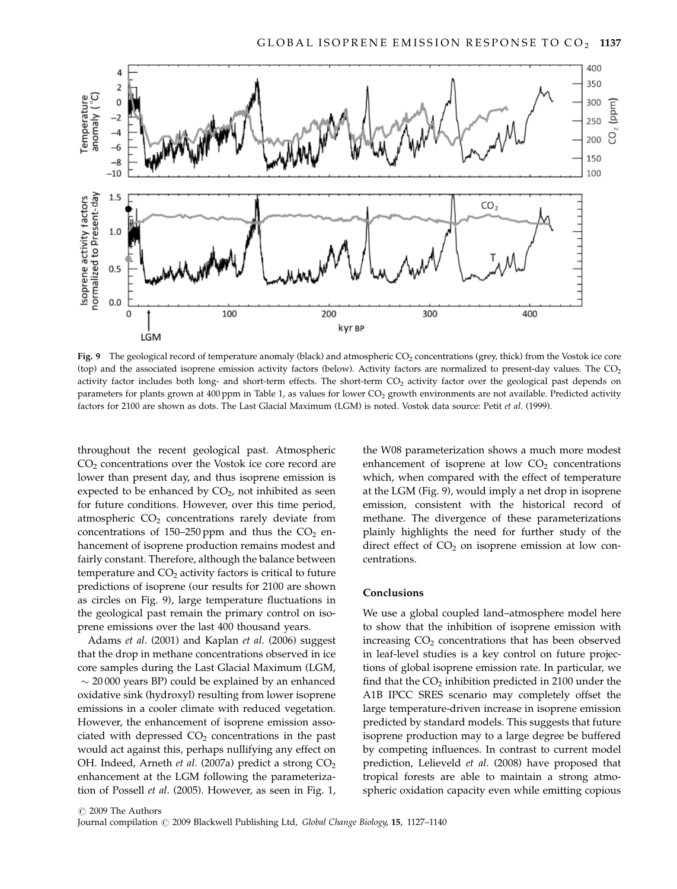

Fig. 9 The geological record of temperature anomaly (black) and atmospheric  $CO<sub>2</sub>$  concentrations (grey, thick) from the Vostok ice core (top) and the associated isoprene emission activity factors (below). Activity factors are normalized to present-day values. The CO<sub>2</sub> activity factor includes both long- and short-term effects. The short-term  $CO<sub>2</sub>$  activity factor over the geological past depends on parameters for plants grown at 400 ppm in Table 1, as values for lower CO<sub>2</sub> growth environments are not available. Predicted activity factors for 2100 are shown as dots. The Last Glacial Maximum (LGM) is noted. Vostok data source: Petit et al. (1999).

throughout the recent geological past. Atmospheric CO<sub>2</sub> concentrations over the Vostok ice core record are lower than present day, and thus isoprene emission is expected to be enhanced by  $CO<sub>2</sub>$ , not inhibited as seen for future conditions. However, over this time period, atmospheric CO<sub>2</sub> concentrations rarely deviate from concentrations of 150–250 ppm and thus the  $CO<sub>2</sub>$  enhancement of isoprene production remains modest and fairly constant. Therefore, although the balance between temperature and  $CO<sub>2</sub>$  activity factors is critical to future predictions of isoprene (our results for 2100 are shown as circles on Fig. 9), large temperature fluctuations in the geological past remain the primary control on isoprene emissions over the last 400 thousand years.

Adams et al. (2001) and Kaplan et al. (2006) suggest that the drop in methane concentrations observed in ice core samples during the Last Glacial Maximum (LGM,  $\sim$  20000 years BP) could be explained by an enhanced oxidative sink (hydroxyl) resulting from lower isoprene emissions in a cooler climate with reduced vegetation. However, the enhancement of isoprene emission associated with depressed  $CO<sub>2</sub>$  concentrations in the past would act against this, perhaps nullifying any effect on OH. Indeed, Arneth et al. (2007a) predict a strong CO<sub>2</sub> enhancement at the LGM following the parameterization of Possell et al. (2005). However, as seen in Fig. 1, the W08 parameterization shows a much more modest enhancement of isoprene at low  $CO<sub>2</sub>$  concentrations which, when compared with the effect of temperature at the LGM (Fig. 9), would imply a net drop in isoprene emission, consistent with the historical record of methane. The divergence of these parameterizations plainly highlights the need for further study of the direct effect of  $CO<sub>2</sub>$  on isoprene emission at low concentrations.

# Conclusions

We use a global coupled land–atmosphere model here to show that the inhibition of isoprene emission with increasing  $CO<sub>2</sub>$  concentrations that has been observed in leaf-level studies is a key control on future projections of global isoprene emission rate. In particular, we find that the  $CO<sub>2</sub>$  inhibition predicted in 2100 under the A1B IPCC SRES scenario may completely offset the large temperature-driven increase in isoprene emission predicted by standard models. This suggests that future isoprene production may to a large degree be buffered by competing influences. In contrast to current model prediction, Lelieveld et al. (2008) have proposed that tropical forests are able to maintain a strong atmospheric oxidation capacity even while emitting copious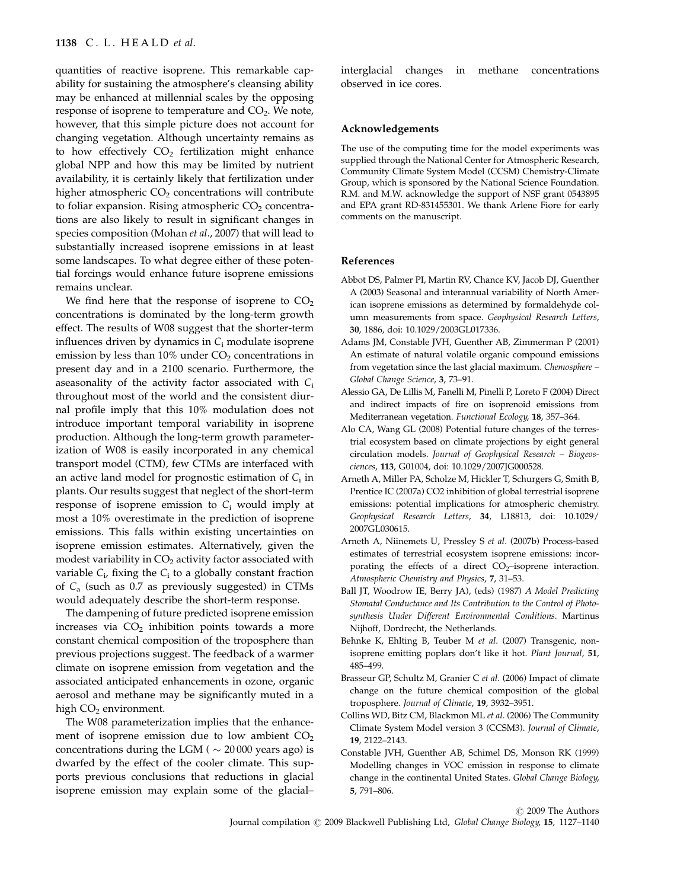quantities of reactive isoprene. This remarkable capability for sustaining the atmosphere's cleansing ability may be enhanced at millennial scales by the opposing response of isoprene to temperature and  $CO<sub>2</sub>$ . We note, however, that this simple picture does not account for changing vegetation. Although uncertainty remains as to how effectively  $CO<sub>2</sub>$  fertilization might enhance global NPP and how this may be limited by nutrient availability, it is certainly likely that fertilization under higher atmospheric  $CO<sub>2</sub>$  concentrations will contribute to foliar expansion. Rising atmospheric  $CO<sub>2</sub>$  concentrations are also likely to result in significant changes in species composition (Mohan et al., 2007) that will lead to substantially increased isoprene emissions in at least some landscapes. To what degree either of these potential forcings would enhance future isoprene emissions remains unclear.

We find here that the response of isoprene to  $CO<sub>2</sub>$ concentrations is dominated by the long-term growth effect. The results of W08 suggest that the shorter-term influences driven by dynamics in  $C_i$  modulate isoprene emission by less than  $10\%$  under  $CO<sub>2</sub>$  concentrations in present day and in a 2100 scenario. Furthermore, the aseasonality of the activity factor associated with  $C_i$ throughout most of the world and the consistent diurnal profile imply that this 10% modulation does not introduce important temporal variability in isoprene production. Although the long-term growth parameterization of W08 is easily incorporated in any chemical transport model (CTM), few CTMs are interfaced with an active land model for prognostic estimation of  $C_i$  in plants. Our results suggest that neglect of the short-term response of isoprene emission to  $C_i$  would imply at most a 10% overestimate in the prediction of isoprene emissions. This falls within existing uncertainties on isoprene emission estimates. Alternatively, given the modest variability in  $CO<sub>2</sub>$  activity factor associated with variable  $C_i$ , fixing the  $C_i$  to a globally constant fraction of C<sup>a</sup> (such as 0.7 as previously suggested) in CTMs would adequately describe the short-term response.

The dampening of future predicted isoprene emission increases via  $CO<sub>2</sub>$  inhibition points towards a more constant chemical composition of the troposphere than previous projections suggest. The feedback of a warmer climate on isoprene emission from vegetation and the associated anticipated enhancements in ozone, organic aerosol and methane may be significantly muted in a high  $CO<sub>2</sub>$  environment.

The W08 parameterization implies that the enhancement of isoprene emission due to low ambient  $CO<sub>2</sub>$ concentrations during the LGM ( $\sim$  20 000 years ago) is dwarfed by the effect of the cooler climate. This supports previous conclusions that reductions in glacial isoprene emission may explain some of the glacial– interglacial changes in methane concentrations observed in ice cores.

#### Acknowledgements

The use of the computing time for the model experiments was supplied through the National Center for Atmospheric Research, Community Climate System Model (CCSM) Chemistry-Climate Group, which is sponsored by the National Science Foundation. R.M. and M.W. acknowledge the support of NSF grant 0543895 and EPA grant RD-831455301. We thank Arlene Fiore for early comments on the manuscript.

# References

- Abbot DS, Palmer PI, Martin RV, Chance KV, Jacob DJ, Guenther A (2003) Seasonal and interannual variability of North American isoprene emissions as determined by formaldehyde column measurements from space. Geophysical Research Letters, 30, 1886, doi: 10.1029/2003GL017336.
- Adams JM, Constable JVH, Guenther AB, Zimmerman P (2001) An estimate of natural volatile organic compound emissions from vegetation since the last glacial maximum. Chemosphere – Global Change Science, 3, 73–91.
- Alessio GA, De Lillis M, Fanelli M, Pinelli P, Loreto F (2004) Direct and indirect impacts of fire on isoprenoid emissions from Mediterranean vegetation. Functional Ecology, 18, 357–364.
- Alo CA, Wang GL (2008) Potential future changes of the terrestrial ecosystem based on climate projections by eight general circulation models. Journal of Geophysical Research – Biogeosciences, 113, G01004, doi: 10.1029/2007JG000528.
- Arneth A, Miller PA, Scholze M, Hickler T, Schurgers G, Smith B, Prentice IC (2007a) CO2 inhibition of global terrestrial isoprene emissions: potential implications for atmospheric chemistry. Geophysical Research Letters, 34, L18813, doi: 10.1029/ 2007GL030615.
- Arneth A, Niinemets U, Pressley S et al. (2007b) Process-based estimates of terrestrial ecosystem isoprene emissions: incorporating the effects of a direct  $CO<sub>2</sub>$ -isoprene interaction. Atmospheric Chemistry and Physics, 7, 31–53.
- Ball JT, Woodrow IE, Berry JA), (eds) (1987) A Model Predicting Stomatal Conductance and Its Contribution to the Control of Photosynthesis Under Different Environmental Conditions. Martinus Nijhoff, Dordrecht, the Netherlands.
- Behnke K, Ehlting B, Teuber M et al. (2007) Transgenic, nonisoprene emitting poplars don't like it hot. Plant Journal, 51, 485–499.
- Brasseur GP, Schultz M, Granier C et al. (2006) Impact of climate change on the future chemical composition of the global troposphere. Journal of Climate, 19, 3932–3951.
- Collins WD, Bitz CM, Blackmon ML et al. (2006) The Community Climate System Model version 3 (CCSM3). Journal of Climate, 19, 2122–2143.
- Constable JVH, Guenther AB, Schimel DS, Monson RK (1999) Modelling changes in VOC emission in response to climate change in the continental United States. Global Change Biology, 5, 791–806.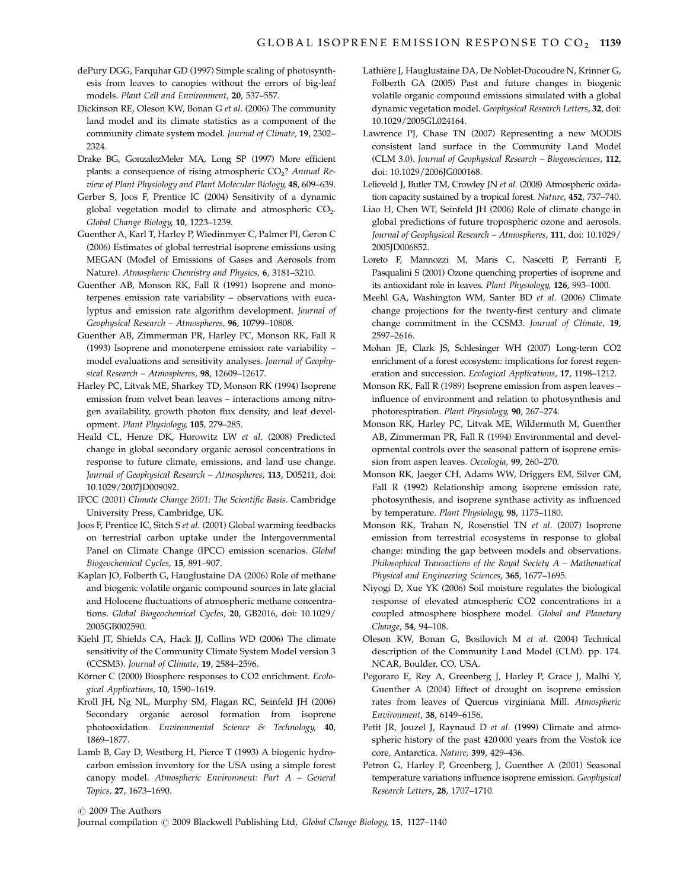- dePury DGG, Farquhar GD (1997) Simple scaling of photosynthesis from leaves to canopies without the errors of big-leaf models. Plant Cell and Environment, 20, 537–557.
- Dickinson RE, Oleson KW, Bonan G et al. (2006) The community land model and its climate statistics as a component of the community climate system model. Journal of Climate, 19, 2302– 2324.
- Drake BG, GonzalezMeler MA, Long SP (1997) More efficient plants: a consequence of rising atmospheric  $CO<sub>2</sub>$ ? Annual Review of Plant Physiology and Plant Molecular Biology, 48, 609–639.
- Gerber S, Joos F, Prentice IC (2004) Sensitivity of a dynamic global vegetation model to climate and atmospheric CO<sub>2</sub>. Global Change Biology, 10, 1223–1239.
- Guenther A, Karl T, Harley P, Wiedinmyer C, Palmer PI, Geron C (2006) Estimates of global terrestrial isoprene emissions using MEGAN (Model of Emissions of Gases and Aerosols from Nature). Atmospheric Chemistry and Physics, 6, 3181–3210.
- Guenther AB, Monson RK, Fall R (1991) Isoprene and monoterpenes emission rate variability – observations with eucalyptus and emission rate algorithm development. Journal of Geophysical Research – Atmospheres, 96, 10799–10808.
- Guenther AB, Zimmerman PR, Harley PC, Monson RK, Fall R (1993) Isoprene and monoterpene emission rate variability – model evaluations and sensitivity analyses. Journal of Geophysical Research – Atmospheres, 98, 12609–12617.
- Harley PC, Litvak ME, Sharkey TD, Monson RK (1994) Isoprene emission from velvet bean leaves – interactions among nitrogen availability, growth photon flux density, and leaf development. Plant Physiology, 105, 279–285.
- Heald CL, Henze DK, Horowitz LW et al. (2008) Predicted change in global secondary organic aerosol concentrations in response to future climate, emissions, and land use change. Journal of Geophysical Research – Atmospheres, 113, D05211, doi: 10.1029/2007JD009092.
- IPCC (2001) Climate Change 2001: The Scientific Basis. Cambridge University Press, Cambridge, UK.
- Joos F, Prentice IC, Sitch S et al. (2001) Global warming feedbacks on terrestrial carbon uptake under the Intergovernmental Panel on Climate Change (IPCC) emission scenarios. Global Biogeochemical Cycles, 15, 891–907.
- Kaplan JO, Folberth G, Hauglustaine DA (2006) Role of methane and biogenic volatile organic compound sources in late glacial and Holocene fluctuations of atmospheric methane concentrations. Global Biogeochemical Cycles, 20, GB2016, doi: 10.1029/ 2005GB002590.
- Kiehl JT, Shields CA, Hack JJ, Collins WD (2006) The climate sensitivity of the Community Climate System Model version 3 (CCSM3). Journal of Climate, 19, 2584–2596.
- Körner C (2000) Biosphere responses to CO2 enrichment. Ecological Applications, 10, 1590–1619.
- Kroll JH, Ng NL, Murphy SM, Flagan RC, Seinfeld JH (2006) Secondary organic aerosol formation from isoprene photooxidation. Environmental Science & Technology, 40, 1869–1877.
- Lamb B, Gay D, Westberg H, Pierce T (1993) A biogenic hydrocarbon emission inventory for the USA using a simple forest canopy model. Atmospheric Environment: Part A – General Topics, 27, 1673–1690.
- Lathière J, Hauglustaine DA, De Noblet-Ducoudre N, Krinner G, Folberth GA (2005) Past and future changes in biogenic volatile organic compound emissions simulated with a global dynamic vegetation model. Geophysical Research Letters, 32, doi: 10.1029/2005GL024164.
- Lawrence PJ, Chase TN (2007) Representing a new MODIS consistent land surface in the Community Land Model (CLM 3.0). Journal of Geophysical Research – Biogeosciences, 112, doi: 10.1029/2006JG000168.
- Lelieveld J, Butler TM, Crowley JN et al. (2008) Atmospheric oxidation capacity sustained by a tropical forest. Nature, 452, 737–740.
- Liao H, Chen WT, Seinfeld JH (2006) Role of climate change in global predictions of future tropospheric ozone and aerosols. Journal of Geophysical Research – Atmospheres, 111, doi: 10.1029/ 2005JD006852.
- Loreto F, Mannozzi M, Maris C, Nascetti P, Ferranti F, Pasqualini S (2001) Ozone quenching properties of isoprene and its antioxidant role in leaves. Plant Physiology, 126, 993–1000.
- Meehl GA, Washington WM, Santer BD et al. (2006) Climate change projections for the twenty-first century and climate change commitment in the CCSM3. Journal of Climate, 19, 2597–2616.
- Mohan JE, Clark JS, Schlesinger WH (2007) Long-term CO2 enrichment of a forest ecosystem: implications for forest regeneration and succession. Ecological Applications, 17, 1198–1212.
- Monson RK, Fall R (1989) Isoprene emission from aspen leaves influence of environment and relation to photosynthesis and photorespiration. Plant Physiology, 90, 267–274.
- Monson RK, Harley PC, Litvak ME, Wildermuth M, Guenther AB, Zimmerman PR, Fall R (1994) Environmental and developmental controls over the seasonal pattern of isoprene emission from aspen leaves. Oecologia, 99, 260–270.
- Monson RK, Jaeger CH, Adams WW, Driggers EM, Silver GM, Fall R (1992) Relationship among isoprene emission rate, photosynthesis, and isoprene synthase activity as influenced by temperature. Plant Physiology, 98, 1175–1180.
- Monson RK, Trahan N, Rosenstiel TN et al. (2007) Isoprene emission from terrestrial ecosystems in response to global change: minding the gap between models and observations. Philosophical Transactions of the Royal Society  $A - Mathematical$ Physical and Engineering Sciences, 365, 1677–1695.
- Niyogi D, Xue YK (2006) Soil moisture regulates the biological response of elevated atmospheric CO2 concentrations in a coupled atmosphere biosphere model. Global and Planetary Change, 54, 94–108.
- Oleson KW, Bonan G, Bosilovich M et al. (2004) Technical description of the Community Land Model (CLM). pp. 174. NCAR, Boulder, CO, USA.
- Pegoraro E, Rey A, Greenberg J, Harley P, Grace J, Malhi Y, Guenther A (2004) Effect of drought on isoprene emission rates from leaves of Quercus virginiana Mill. Atmospheric Environment, 38, 6149–6156.
- Petit JR, Jouzel J, Raynaud D et al. (1999) Climate and atmospheric history of the past 420 000 years from the Vostok ice core, Antarctica. Nature, 399, 429–436.
- Petron G, Harley P, Greenberg J, Guenther A (2001) Seasonal temperature variations influence isoprene emission. Geophysical Research Letters, 28, 1707–1710.

 $\odot$  2009 The Authors

Journal compilation  $\odot$  2009 Blackwell Publishing Ltd, Global Change Biology, 15, 1127-1140